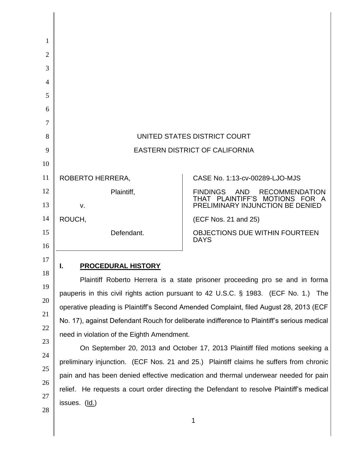| 1              |                                                                                             |                                                                                 |  |
|----------------|---------------------------------------------------------------------------------------------|---------------------------------------------------------------------------------|--|
| $\overline{2}$ |                                                                                             |                                                                                 |  |
| 3              |                                                                                             |                                                                                 |  |
| $\overline{4}$ |                                                                                             |                                                                                 |  |
| 5              |                                                                                             |                                                                                 |  |
| 6              |                                                                                             |                                                                                 |  |
| 7              |                                                                                             |                                                                                 |  |
| 8              | UNITED STATES DISTRICT COURT                                                                |                                                                                 |  |
| 9              | <b>EASTERN DISTRICT OF CALIFORNIA</b>                                                       |                                                                                 |  |
| 10             |                                                                                             |                                                                                 |  |
| 11             | ROBERTO HERRERA,                                                                            | CASE No. 1:13-cv-00289-LJO-MJS                                                  |  |
| 12             | Plaintiff,                                                                                  | <b>FINDINGS</b><br>AND<br><b>RECOMMENDATION</b><br>THAT PLAINTIFF'S MOTIONS FOR |  |
| 13             | V.                                                                                          | PRELIMINARY INJUNCTION BE DENIED                                                |  |
| 14             | ROUCH,                                                                                      | (ECF Nos. 21 and 25)                                                            |  |
| 15<br>16       | Defendant.                                                                                  | <b>OBJECTIONS DUE WITHIN FOURTEEN</b><br><b>DAYS</b>                            |  |
| 17             |                                                                                             |                                                                                 |  |
| 18             | <b>PROCEDURAL HISTORY</b>                                                                   |                                                                                 |  |
| 19             | Plaintiff Roberto Herrera is a state prisoner proceeding pro se and in forma                |                                                                                 |  |
| 20             | pauperis in this civil rights action pursuant to 42 U.S.C. $\S$ 1983. (ECF No. 1.) The      |                                                                                 |  |
| 21             | operative pleading is Plaintiff's Second Amended Complaint, filed August 28, 2013 (ECF      |                                                                                 |  |
| 22             | No. 17), against Defendant Rouch for deliberate indifference to Plaintiff's serious medical |                                                                                 |  |
| 23             | need in violation of the Eighth Amendment.                                                  |                                                                                 |  |
| 24             | On September 20, 2013 and October 17, 2013 Plaintiff filed motions seeking a                |                                                                                 |  |
| 25             | preliminary injunction. (ECF Nos. 21 and 25.) Plaintiff claims he suffers from chronic      |                                                                                 |  |
| 26             | pain and has been denied effective medication and thermal underwear needed for pain         |                                                                                 |  |
| 27             | relief. He requests a court order directing the Defendant to resolve Plaintiff's medical    |                                                                                 |  |
| 28             | issues. (Id.)                                                                               |                                                                                 |  |
|                |                                                                                             |                                                                                 |  |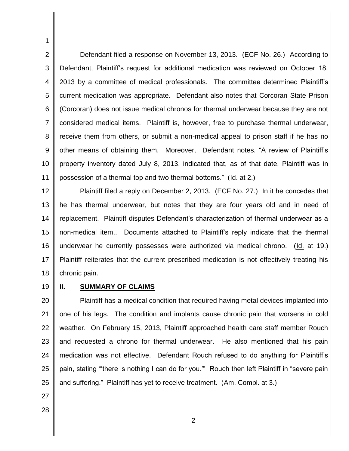2 3 4 5 6 7 8 9 10 11 Defendant filed a response on November 13, 2013. (ECF No. 26.) According to Defendant, Plaintiff's request for additional medication was reviewed on October 18, 2013 by a committee of medical professionals. The committee determined Plaintiff"s current medication was appropriate. Defendant also notes that Corcoran State Prison (Corcoran) does not issue medical chronos for thermal underwear because they are not considered medical items. Plaintiff is, however, free to purchase thermal underwear, receive them from others, or submit a non-medical appeal to prison staff if he has no other means of obtaining them. Moreover, Defendant notes, "A review of Plaintiff"s property inventory dated July 8, 2013, indicated that, as of that date, Plaintiff was in possession of a thermal top and two thermal bottoms." (Id. at 2.)

12 13 14 15 16 17 18 Plaintiff filed a reply on December 2, 2013. (ECF No. 27.) In it he concedes that he has thermal underwear, but notes that they are four years old and in need of replacement. Plaintiff disputes Defendant"s characterization of thermal underwear as a non-medical item.. Documents attached to Plaintiff"s reply indicate that the thermal underwear he currently possesses were authorized via medical chrono. (Id. at 19.) Plaintiff reiterates that the current prescribed medication is not effectively treating his chronic pain.

19

1

## **II. SUMMARY OF CLAIMS**

20 21 22 23 24 25 26 Plaintiff has a medical condition that required having metal devices implanted into one of his legs. The condition and implants cause chronic pain that worsens in cold weather. On February 15, 2013, Plaintiff approached health care staff member Rouch and requested a chrono for thermal underwear. He also mentioned that his pain medication was not effective. Defendant Rouch refused to do anything for Plaintiff's pain, stating ""there is nothing I can do for you."" Rouch then left Plaintiff in "severe pain and suffering." Plaintiff has yet to receive treatment. (Am. Compl. at 3.)

- 27
- 28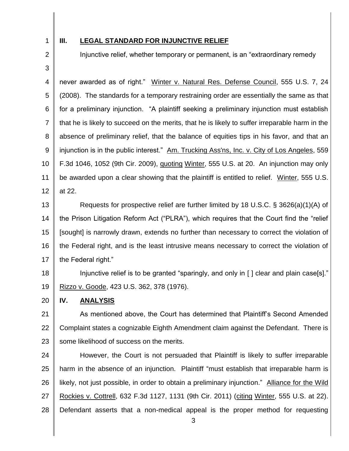1

## **III. LEGAL STANDARD FOR INJUNCTIVE RELIEF**

Injunctive relief, whether temporary or permanent, is an "extraordinary remedy

3

2

4 5 6 7 8 9 10 11 12 never awarded as of right." Winter v. Natural Res. Defense Council, 555 U.S. 7, 24 (2008). The standards for a temporary restraining order are essentially the same as that for a preliminary injunction. "A plaintiff seeking a preliminary injunction must establish that he is likely to succeed on the merits, that he is likely to suffer irreparable harm in the absence of preliminary relief, that the balance of equities tips in his favor, and that an injunction is in the public interest." Am. Trucking Ass'ns, Inc. v. City of Los Angeles, 559 F.3d 1046, 1052 (9th Cir. 2009), quoting Winter, 555 U.S. at 20. An injunction may only be awarded upon a clear showing that the plaintiff is entitled to relief. Winter, 555 U.S. at 22.

13 14 15 16 17 Requests for prospective relief are further limited by 18 U.S.C. § 3626(a)(1)(A) of the Prison Litigation Reform Act ("PLRA"), which requires that the Court find the "relief [sought] is narrowly drawn, extends no further than necessary to correct the violation of the Federal right, and is the least intrusive means necessary to correct the violation of the Federal right."

18 19 Injunctive relief is to be granted "sparingly, and only in [] clear and plain case[s]." Rizzo v. Goode, 423 U.S. 362, 378 (1976).

20 **IV. ANALYSIS**

21 22 23 As mentioned above, the Court has determined that Plaintiff"s Second Amended Complaint states a cognizable Eighth Amendment claim against the Defendant. There is some likelihood of success on the merits.

24 25 26 27 28 However, the Court is not persuaded that Plaintiff is likely to suffer irreparable harm in the absence of an injunction. Plaintiff "must establish that irreparable harm is likely, not just possible, in order to obtain a preliminary injunction." Alliance for the Wild Rockies v. Cottrell, 632 F.3d 1127, 1131 (9th Cir. 2011) (citing Winter, 555 U.S. at 22). Defendant asserts that a non-medical appeal is the proper method for requesting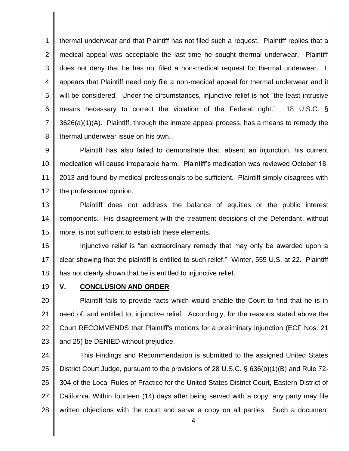1 2 3 4 5 6 7 8 thermal underwear and that Plaintiff has not filed such a request. Plaintiff replies that a medical appeal was acceptable the last time he sought thermal underwear. Plaintiff does not deny that he has not filed a non-medical request for thermal underwear. It appears that Plaintiff need only file a non-medical appeal for thermal underwear and it will be considered. Under the circumstances, injunctive relief is not "the least intrusive means necessary to correct the violation of the Federal right." 18 U.S.C. § 3626(a)(1)(A). Plaintiff, through the inmate appeal process, has a means to remedy the thermal underwear issue on his own.

9 10 11 12 Plaintiff has also failed to demonstrate that, absent an injunction, his current medication will cause irreparable harm. Plaintiff"s medication was reviewed October 18, 2013 and found by medical professionals to be sufficient. Plaintiff simply disagrees with the professional opinion.

13 14 15 Plaintiff does not address the balance of equities or the public interest components. His disagreement with the treatment decisions of the Defendant, without more, is not sufficient to establish these elements.

16 17 18 Injunctive relief is "an extraordinary remedy that may only be awarded upon a clear showing that the plaintiff is entitled to such relief." Winter, 555 U.S. at 22. Plaintiff has not clearly shown that he is entitled to injunctive relief.

19

## **V. CONCLUSION AND ORDER**

20 21 22 23 Plaintiff fails to provide facts which would enable the Court to find that he is in need of, and entitled to, injunctive relief. Accordingly, for the reasons stated above the Court RECOMMENDS that Plaintiff's motions for a preliminary injunction (ECF Nos. 21 and 25) be DENIED without prejudice.

24 25 26 27 28 This Findings and Recommendation is submitted to the assigned United States District Court Judge, pursuant to the provisions of 28 U.S.C. § 636(b)(1)(B) and Rule 72- 304 of the Local Rules of Practice for the United States District Court, Eastern District of California. Within fourteen (14) days after being served with a copy, any party may file written objections with the court and serve a copy on all parties. Such a document

4